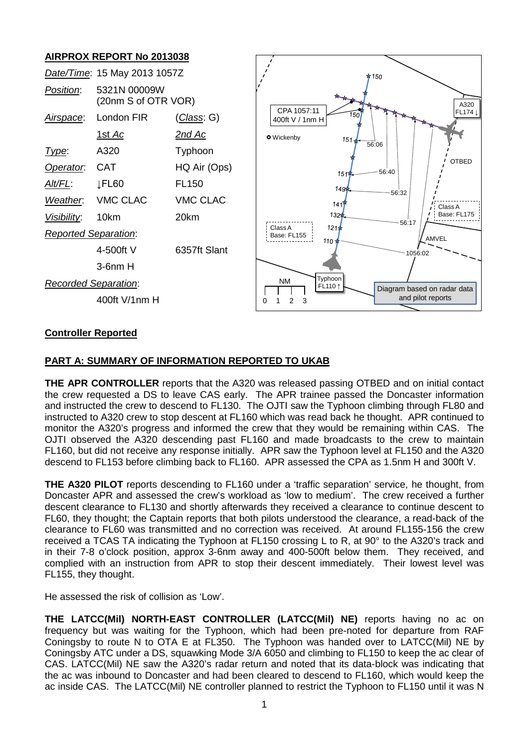# **AIRPROX REPORT No 2013038**

| AINT NOA NET ONT NO ZUTJUJU |                                     |                    |                                                                |
|-----------------------------|-------------------------------------|--------------------|----------------------------------------------------------------|
|                             | Date/Time: 15 May 2013 1057Z        |                    | $*150$                                                         |
| Position:                   | 5321N 00009W<br>(20nm S of OTR VOR) |                    | A320<br>CPA 1057:11                                            |
| Airspace:                   | London FIR                          | <u>(Class</u> : G) | FL174 \<br>150<br>400ft V / 1nm H                              |
|                             | <u>1st Ac</u>                       | <u>2nd Ac</u>      | <b>O</b> Wickenby<br>$151 -$                                   |
| Type:                       | A320                                | Typhoon            | $-6.06$                                                        |
| Operator.                   | <b>CAT</b>                          | HQ Air (Ops)       | <b>OTBED</b><br>56:40<br>151                                   |
| Alt/FL:                     | JFL60                               | FL <sub>150</sub>  | $149\pi$                                                       |
| Weather.                    | <b>VMC CLAC</b>                     | <b>VMC CLAC</b>    | $-56:32$<br>141<br>Class A                                     |
| Visibility:                 | 10km                                | 20km               | Base: FL175<br>$132*$<br>56:17                                 |
| <b>Reported Separation:</b> |                                     |                    | $121 +$<br>Class A<br>Base: FL155<br>AMVEL<br>$110 +$          |
|                             | 4-500ft V                           | 6357ft Slant       |                                                                |
|                             | $3-6$ nm $H$                        |                    |                                                                |
| <b>Recorded Separation:</b> |                                     |                    | Typhoon<br><b>NM</b><br>FL110 1<br>Diagram based on radar data |
| 400ft V/1nm H               |                                     |                    | and pilot reports<br>$\overline{2}$<br>3<br>∩                  |

# **Controller Reported**

# **PART A: SUMMARY OF INFORMATION REPORTED TO UKAB**

**THE APR CONTROLLER** reports that the A320 was released passing OTBED and on initial contact the crew requested a DS to leave CAS early. The APR trainee passed the Doncaster information and instructed the crew to descend to FL130. The OJTI saw the Typhoon climbing through FL80 and instructed to A320 crew to stop descent at FL160 which was read back he thought. APR continued to monitor the A320's progress and informed the crew that they would be remaining within CAS. The OJTI observed the A320 descending past FL160 and made broadcasts to the crew to maintain FL160, but did not receive any response initially. APR saw the Typhoon level at FL150 and the A320 descend to FL153 before climbing back to FL160. APR assessed the CPA as 1.5nm H and 300ft V.

**THE A320 PILOT** reports descending to FL160 under a 'traffic separation' service, he thought, from Doncaster APR and assessed the crew's workload as 'low to medium'. The crew received a further descent clearance to FL130 and shortly afterwards they received a clearance to continue descent to FL60, they thought; the Captain reports that both pilots understood the clearance, a read-back of the clearance to FL60 was transmitted and no correction was received. At around FL155-156 the crew received a TCAS TA indicating the Typhoon at FL150 crossing L to R, at 90° to the A320's track and in their 7-8 o'clock position, approx 3-6nm away and 400-500ft below them. They received, and complied with an instruction from APR to stop their descent immediately. Their lowest level was FL155, they thought.

He assessed the risk of collision as 'Low'.

**THE LATCC(Mil) NORTH-EAST CONTROLLER (LATCC(Mil) NE)** reports having no ac on frequency but was waiting for the Typhoon, which had been pre-noted for departure from RAF Coningsby to route N to OTA E at FL350. The Typhoon was handed over to LATCC(Mil) NE by Coningsby ATC under a DS, squawking Mode 3/A 6050 and climbing to FL150 to keep the ac clear of CAS. LATCC(Mil) NE saw the A320's radar return and noted that its data-block was indicating that the ac was inbound to Doncaster and had been cleared to descend to FL160, which would keep the ac inside CAS. The LATCC(Mil) NE controller planned to restrict the Typhoon to FL150 until it was N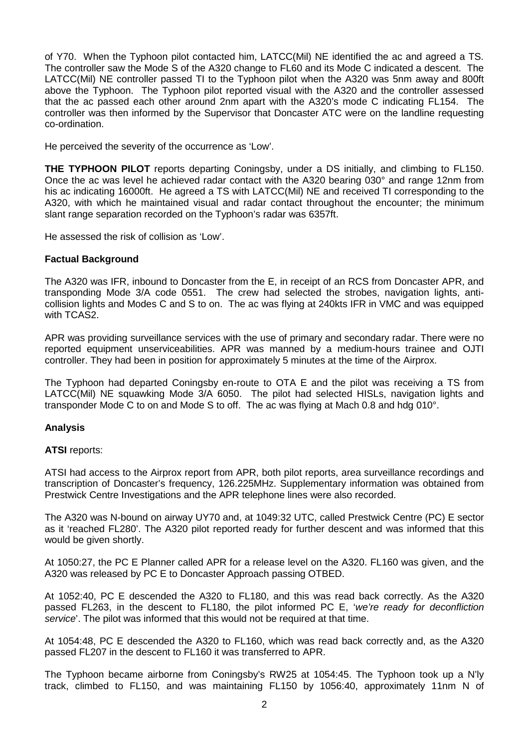of Y70. When the Typhoon pilot contacted him, LATCC(Mil) NE identified the ac and agreed a TS. The controller saw the Mode S of the A320 change to FL60 and its Mode C indicated a descent. The LATCC(Mil) NE controller passed TI to the Typhoon pilot when the A320 was 5nm away and 800ft above the Typhoon. The Typhoon pilot reported visual with the A320 and the controller assessed that the ac passed each other around 2nm apart with the A320's mode C indicating FL154. The controller was then informed by the Supervisor that Doncaster ATC were on the landline requesting co-ordination.

He perceived the severity of the occurrence as 'Low'.

**THE TYPHOON PILOT** reports departing Coningsby, under a DS initially, and climbing to FL150. Once the ac was level he achieved radar contact with the A320 bearing 030° and range 12nm from his ac indicating 16000ft. He agreed a TS with LATCC(Mil) NE and received TI corresponding to the A320, with which he maintained visual and radar contact throughout the encounter; the minimum slant range separation recorded on the Typhoon's radar was 6357ft.

He assessed the risk of collision as 'Low'.

#### **Factual Background**

The A320 was IFR, inbound to Doncaster from the E, in receipt of an RCS from Doncaster APR, and transponding Mode 3/A code 0551. The crew had selected the strobes, navigation lights, anticollision lights and Modes C and S to on. The ac was flying at 240kts IFR in VMC and was equipped with TCAS2.

APR was providing surveillance services with the use of primary and secondary radar. There were no reported equipment unserviceabilities. APR was manned by a medium-hours trainee and OJTI controller. They had been in position for approximately 5 minutes at the time of the Airprox.

The Typhoon had departed Coningsby en-route to OTA E and the pilot was receiving a TS from LATCC(Mil) NE squawking Mode 3/A 6050. The pilot had selected HISLs, navigation lights and transponder Mode C to on and Mode S to off. The ac was flying at Mach 0.8 and hdg 010°.

## **Analysis**

#### **ATSI** reports:

ATSI had access to the Airprox report from APR, both pilot reports, area surveillance recordings and transcription of Doncaster's frequency, 126.225MHz. Supplementary information was obtained from Prestwick Centre Investigations and the APR telephone lines were also recorded.

The A320 was N-bound on airway UY70 and, at 1049:32 UTC, called Prestwick Centre (PC) E sector as it 'reached FL280'. The A320 pilot reported ready for further descent and was informed that this would be given shortly.

At 1050:27, the PC E Planner called APR for a release level on the A320. FL160 was given, and the A320 was released by PC E to Doncaster Approach passing OTBED.

At 1052:40, PC E descended the A320 to FL180, and this was read back correctly. As the A320 passed FL263, in the descent to FL180, the pilot informed PC E, '*we're ready for deconfliction service*'. The pilot was informed that this would not be required at that time.

At 1054:48, PC E descended the A320 to FL160, which was read back correctly and, as the A320 passed FL207 in the descent to FL160 it was transferred to APR.

The Typhoon became airborne from Coningsby's RW25 at 1054:45. The Typhoon took up a N'ly track, climbed to FL150, and was maintaining FL150 by 1056:40, approximately 11nm N of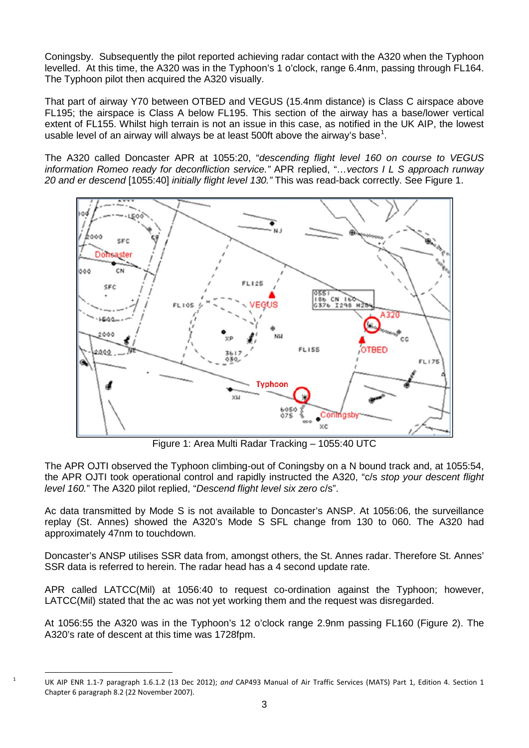Coningsby. Subsequently the pilot reported achieving radar contact with the A320 when the Typhoon levelled. At this time, the A320 was in the Typhoon's 1 o'clock, range 6.4nm, passing through FL164. The Typhoon pilot then acquired the A320 visually.

That part of airway Y70 between OTBED and VEGUS (15.4nm distance) is Class C airspace above FL195; the airspace is Class A below FL195. This section of the airway has a base/lower vertical extent of FL155. Whilst high terrain is not an issue in this case, as notified in the UK AIP, the lowest usable level of an airway will always be at least 500ft above the airway's base<sup>[1](#page-2-0)</sup>.

The A320 called Doncaster APR at 1055:20, "*descending flight level 160 on course to VEGUS information Romeo ready for deconfliction service."* APR replied, "*…vectors I L S approach runway 20 and er descend* [1055:40] *initially flight level 130."* This was read-back correctly. See Figure 1.



Figure 1: Area Multi Radar Tracking – 1055:40 UTC

The APR OJTI observed the Typhoon climbing-out of Coningsby on a N bound track and, at 1055:54, the APR OJTI took operational control and rapidly instructed the A320, "c/s *stop your descent flight level 160.*" The A320 pilot replied, "*Descend flight level six zero* c/s".

Ac data transmitted by Mode S is not available to Doncaster's ANSP. At 1056:06, the surveillance replay (St. Annes) showed the A320's Mode S SFL change from 130 to 060. The A320 had approximately 47nm to touchdown.

Doncaster's ANSP utilises SSR data from, amongst others, the St. Annes radar. Therefore St. Annes' SSR data is referred to herein. The radar head has a 4 second update rate.

APR called LATCC(Mil) at 1056:40 to request co-ordination against the Typhoon; however, LATCC(Mil) stated that the ac was not yet working them and the request was disregarded.

At 1056:55 the A320 was in the Typhoon's 12 o'clock range 2.9nm passing FL160 (Figure 2). The A320's rate of descent at this time was 1728fpm.

<span id="page-2-0"></span> <sup>1</sup> UK AIP ENR 1.1-7 paragraph 1.6.1.2 (13 Dec 2012); *and* CAP493 Manual of Air Traffic Services (MATS) Part 1, Edition 4. Section 1 Chapter 6 paragraph 8.2 (22 November 2007).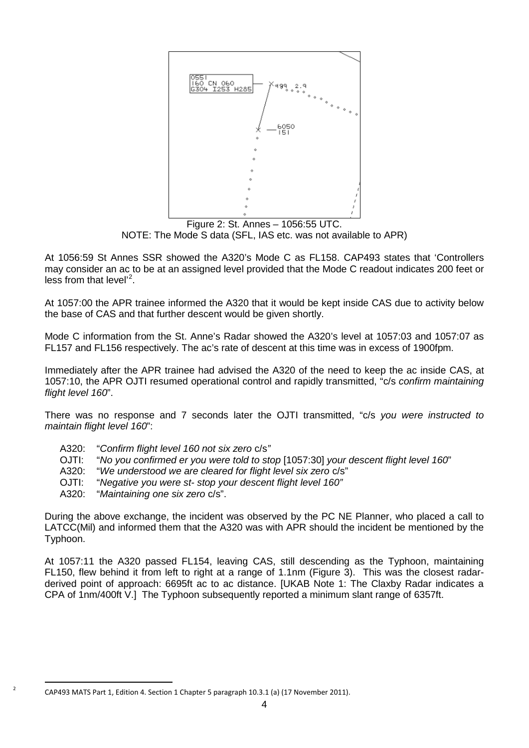

Figure 2: St. Annes – 1056:55 UTC. NOTE: The Mode S data (SFL, IAS etc. was not available to APR)

At 1056:59 St Annes SSR showed the A320's Mode C as FL158. CAP493 states that 'Controllers may consider an ac to be at an assigned level provided that the Mode C readout indicates 200 feet or less from that level'<sup>[2](#page-3-0)</sup>.

At 1057:00 the APR trainee informed the A320 that it would be kept inside CAS due to activity below the base of CAS and that further descent would be given shortly.

Mode C information from the St. Anne's Radar showed the A320's level at 1057:03 and 1057:07 as FL157 and FL156 respectively. The ac's rate of descent at this time was in excess of 1900fpm.

Immediately after the APR trainee had advised the A320 of the need to keep the ac inside CAS, at 1057:10, the APR OJTI resumed operational control and rapidly transmitted, "c/s *confirm maintaining flight level 160*".

There was no response and 7 seconds later the OJTI transmitted, "c/s *you were instructed to maintain flight level 160*":

- A320: "*Confirm flight level 160 not six zero* c/s*"*
- OJTI: "*No you confirmed er you were told to stop* [1057:30] *your descent flight level 160*"
- A320: "*We understood we are cleared for flight level six zero* c/s"
- OJTI: "*Negative you were st- stop your descent flight level 160"*
- A320: "*Maintaining one six zero* c/s".

During the above exchange, the incident was observed by the PC NE Planner, who placed a call to LATCC(Mil) and informed them that the A320 was with APR should the incident be mentioned by the Typhoon.

At 1057:11 the A320 passed FL154, leaving CAS, still descending as the Typhoon, maintaining FL150, flew behind it from left to right at a range of 1.1nm (Figure 3). This was the closest radarderived point of approach: 6695ft ac to ac distance. [UKAB Note 1: The Claxby Radar indicates a CPA of 1nm/400ft V.] The Typhoon subsequently reported a minimum slant range of 6357ft.

<span id="page-3-0"></span> <sup>2</sup> CAP493 MATS Part 1, Edition 4. Section 1 Chapter 5 paragraph 10.3.1 (a) (17 November 2011).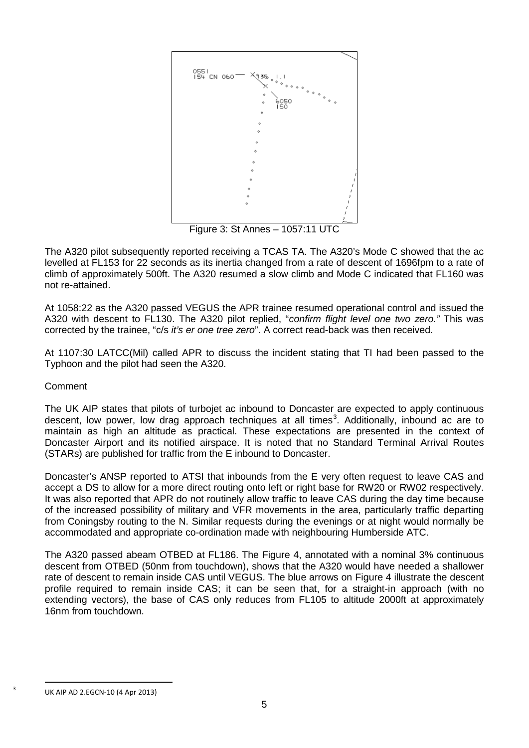

Figure 3: St Annes – 1057:11 UTC

The A320 pilot subsequently reported receiving a TCAS TA. The A320's Mode C showed that the ac levelled at FL153 for 22 seconds as its inertia changed from a rate of descent of 1696fpm to a rate of climb of approximately 500ft. The A320 resumed a slow climb and Mode C indicated that FL160 was not re-attained.

At 1058:22 as the A320 passed VEGUS the APR trainee resumed operational control and issued the A320 with descent to FL130. The A320 pilot replied, "*confirm flight level one two zero."* This was corrected by the trainee, "c/s *it's er one tree zero*". A correct read-back was then received.

At 1107:30 LATCC(Mil) called APR to discuss the incident stating that TI had been passed to the Typhoon and the pilot had seen the A320.

## Comment

The UK AIP states that pilots of turbojet ac inbound to Doncaster are expected to apply continuous descent, low power, low drag approach techniques at all times<sup>[3](#page-4-0)</sup>. Additionally, inbound ac are to maintain as high an altitude as practical. These expectations are presented in the context of Doncaster Airport and its notified airspace. It is noted that no Standard Terminal Arrival Routes (STARs) are published for traffic from the E inbound to Doncaster.

Doncaster's ANSP reported to ATSI that inbounds from the E very often request to leave CAS and accept a DS to allow for a more direct routing onto left or right base for RW20 or RW02 respectively. It was also reported that APR do not routinely allow traffic to leave CAS during the day time because of the increased possibility of military and VFR movements in the area, particularly traffic departing from Coningsby routing to the N. Similar requests during the evenings or at night would normally be accommodated and appropriate co-ordination made with neighbouring Humberside ATC.

The A320 passed abeam OTBED at FL186. The Figure 4, annotated with a nominal 3% continuous descent from OTBED (50nm from touchdown), shows that the A320 would have needed a shallower rate of descent to remain inside CAS until VEGUS. The blue arrows on Figure 4 illustrate the descent profile required to remain inside CAS; it can be seen that, for a straight-in approach (with no extending vectors), the base of CAS only reduces from FL105 to altitude 2000ft at approximately 16nm from touchdown.

<span id="page-4-0"></span>UK AIP AD 2.EGCN-10 (4 Apr 2013)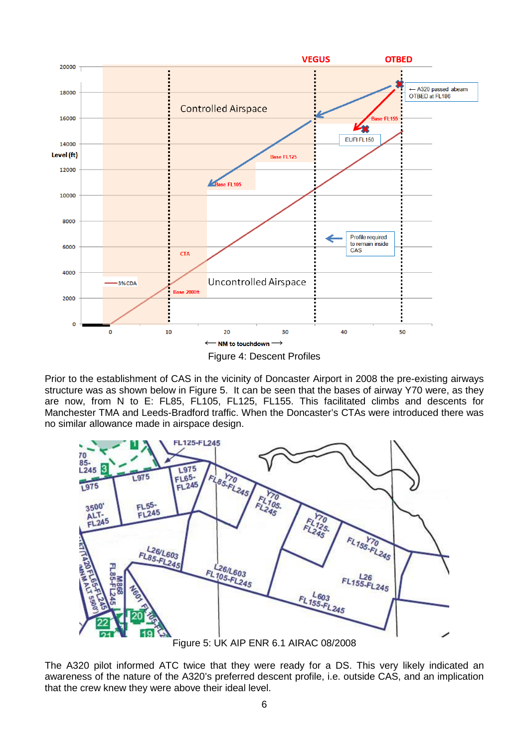

Prior to the establishment of CAS in the vicinity of Doncaster Airport in 2008 the pre-existing airways structure was as shown below in Figure 5. It can be seen that the bases of airway Y70 were, as they are now, from N to E: FL85, FL105, FL125, FL155. This facilitated climbs and descents for Manchester TMA and Leeds-Bradford traffic. When the Doncaster's CTAs were introduced there was no similar allowance made in airspace design.



Figure 5: UK AIP ENR 6.1 AIRAC 08/2008

The A320 pilot informed ATC twice that they were ready for a DS. This very likely indicated an awareness of the nature of the A320's preferred descent profile, i.e. outside CAS, and an implication that the crew knew they were above their ideal level.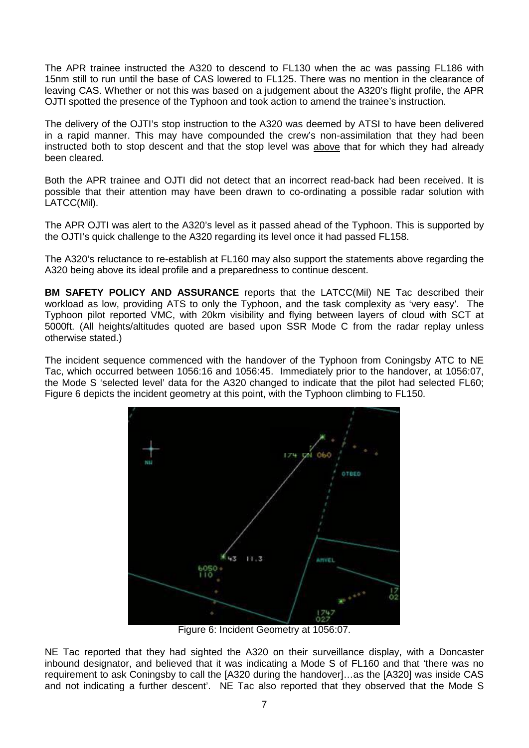The APR trainee instructed the A320 to descend to FL130 when the ac was passing FL186 with 15nm still to run until the base of CAS lowered to FL125. There was no mention in the clearance of leaving CAS. Whether or not this was based on a judgement about the A320's flight profile, the APR OJTI spotted the presence of the Typhoon and took action to amend the trainee's instruction.

The delivery of the OJTI's stop instruction to the A320 was deemed by ATSI to have been delivered in a rapid manner. This may have compounded the crew's non-assimilation that they had been instructed both to stop descent and that the stop level was above that for which they had already been cleared.

Both the APR trainee and OJTI did not detect that an incorrect read-back had been received. It is possible that their attention may have been drawn to co-ordinating a possible radar solution with LATCC(Mil).

The APR OJTI was alert to the A320's level as it passed ahead of the Typhoon. This is supported by the OJTI's quick challenge to the A320 regarding its level once it had passed FL158.

The A320's reluctance to re-establish at FL160 may also support the statements above regarding the A320 being above its ideal profile and a preparedness to continue descent.

**BM SAFETY POLICY AND ASSURANCE** reports that the LATCC(Mil) NE Tac described their workload as low, providing ATS to only the Typhoon, and the task complexity as 'very easy'. The Typhoon pilot reported VMC, with 20km visibility and flying between layers of cloud with SCT at 5000ft. (All heights/altitudes quoted are based upon SSR Mode C from the radar replay unless otherwise stated.)

The incident sequence commenced with the handover of the Typhoon from Coningsby ATC to NE Tac, which occurred between 1056:16 and 1056:45. Immediately prior to the handover, at 1056:07, the Mode S 'selected level' data for the A320 changed to indicate that the pilot had selected FL60; Figure 6 depicts the incident geometry at this point, with the Typhoon climbing to FL150.



Figure 6: Incident Geometry at 1056:07.

NE Tac reported that they had sighted the A320 on their surveillance display, with a Doncaster inbound designator, and believed that it was indicating a Mode S of FL160 and that 'there was no requirement to ask Coningsby to call the [A320 during the handover]…as the [A320] was inside CAS and not indicating a further descent'. NE Tac also reported that they observed that the Mode S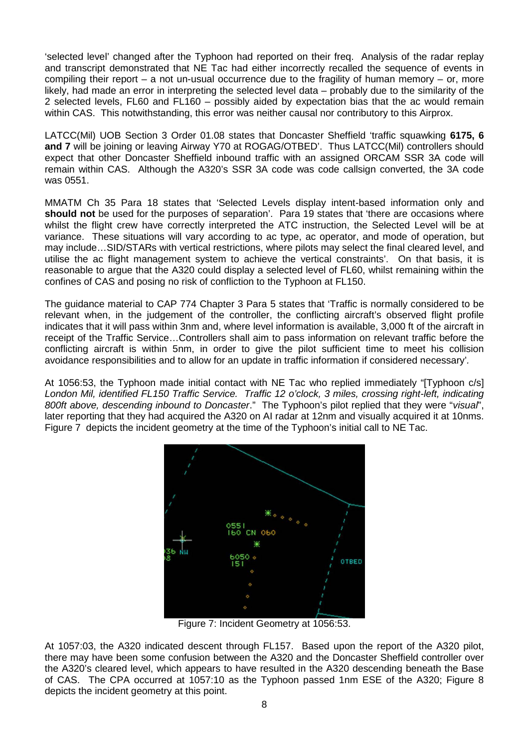'selected level' changed after the Typhoon had reported on their freq. Analysis of the radar replay and transcript demonstrated that NE Tac had either incorrectly recalled the sequence of events in compiling their report  $-$  a not un-usual occurrence due to the fragility of human memory  $-$  or, more likely, had made an error in interpreting the selected level data – probably due to the similarity of the 2 selected levels, FL60 and FL160 – possibly aided by expectation bias that the ac would remain within CAS. This notwithstanding, this error was neither causal nor contributory to this Airprox.

LATCC(Mil) UOB Section 3 Order 01.08 states that Doncaster Sheffield 'traffic squawking **6175, 6 and 7** will be joining or leaving Airway Y70 at ROGAG/OTBED'. Thus LATCC(Mil) controllers should expect that other Doncaster Sheffield inbound traffic with an assigned ORCAM SSR 3A code will remain within CAS. Although the A320's SSR 3A code was code callsign converted, the 3A code was 0551.

MMATM Ch 35 Para 18 states that 'Selected Levels display intent-based information only and should not be used for the purposes of separation'. Para 19 states that 'there are occasions where whilst the flight crew have correctly interpreted the ATC instruction, the Selected Level will be at variance. These situations will vary according to ac type, ac operator, and mode of operation, but may include…SID/STARs with vertical restrictions, where pilots may select the final cleared level, and utilise the ac flight management system to achieve the vertical constraints'. On that basis, it is reasonable to argue that the A320 could display a selected level of FL60, whilst remaining within the confines of CAS and posing no risk of confliction to the Typhoon at FL150.

The guidance material to CAP 774 Chapter 3 Para 5 states that 'Traffic is normally considered to be relevant when, in the judgement of the controller, the conflicting aircraft's observed flight profile indicates that it will pass within 3nm and, where level information is available, 3,000 ft of the aircraft in receipt of the Traffic Service…Controllers shall aim to pass information on relevant traffic before the conflicting aircraft is within 5nm, in order to give the pilot sufficient time to meet his collision avoidance responsibilities and to allow for an update in traffic information if considered necessary'*.*

At 1056:53, the Typhoon made initial contact with NE Tac who replied immediately "[Typhoon c/s] *London Mil, identified FL150 Traffic Service. Traffic 12 o'clock, 3 miles, crossing right-left, indicating 800ft above, descending inbound to Doncaster*." The Typhoon's pilot replied that they were "*visual*", later reporting that they had acquired the A320 on AI radar at 12nm and visually acquired it at 10nms. Figure 7 depicts the incident geometry at the time of the Typhoon's initial call to NE Tac.



Figure 7: Incident Geometry at 1056:53.

At 1057:03, the A320 indicated descent through FL157. Based upon the report of the A320 pilot, there may have been some confusion between the A320 and the Doncaster Sheffield controller over the A320's cleared level, which appears to have resulted in the A320 descending beneath the Base of CAS. The CPA occurred at 1057:10 as the Typhoon passed 1nm ESE of the A320; Figure 8 depicts the incident geometry at this point.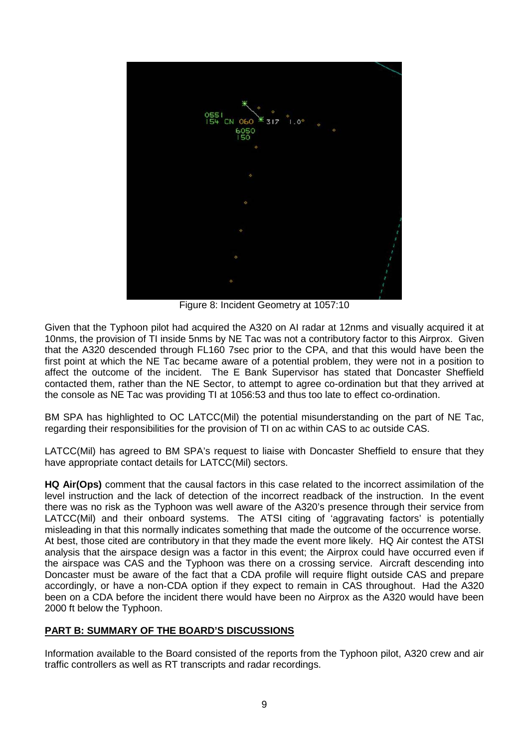

Figure 8: Incident Geometry at 1057:10

Given that the Typhoon pilot had acquired the A320 on AI radar at 12nms and visually acquired it at 10nms, the provision of TI inside 5nms by NE Tac was not a contributory factor to this Airprox. Given that the A320 descended through FL160 7sec prior to the CPA, and that this would have been the first point at which the NE Tac became aware of a potential problem, they were not in a position to affect the outcome of the incident. The E Bank Supervisor has stated that Doncaster Sheffield contacted them, rather than the NE Sector, to attempt to agree co-ordination but that they arrived at the console as NE Tac was providing TI at 1056:53 and thus too late to effect co-ordination.

BM SPA has highlighted to OC LATCC(Mil) the potential misunderstanding on the part of NE Tac, regarding their responsibilities for the provision of TI on ac within CAS to ac outside CAS.

LATCC(Mil) has agreed to BM SPA's request to liaise with Doncaster Sheffield to ensure that they have appropriate contact details for LATCC(Mil) sectors.

**HQ Air(Ops)** comment that the causal factors in this case related to the incorrect assimilation of the level instruction and the lack of detection of the incorrect readback of the instruction. In the event there was no risk as the Typhoon was well aware of the A320's presence through their service from LATCC(Mil) and their onboard systems. The ATSI citing of 'aggravating factors' is potentially misleading in that this normally indicates something that made the outcome of the occurrence worse. At best, those cited are contributory in that they made the event more likely. HQ Air contest the ATSI analysis that the airspace design was a factor in this event; the Airprox could have occurred even if the airspace was CAS and the Typhoon was there on a crossing service. Aircraft descending into Doncaster must be aware of the fact that a CDA profile will require flight outside CAS and prepare accordingly, or have a non-CDA option if they expect to remain in CAS throughout. Had the A320 been on a CDA before the incident there would have been no Airprox as the A320 would have been 2000 ft below the Typhoon.

## **PART B: SUMMARY OF THE BOARD'S DISCUSSIONS**

Information available to the Board consisted of the reports from the Typhoon pilot, A320 crew and air traffic controllers as well as RT transcripts and radar recordings.